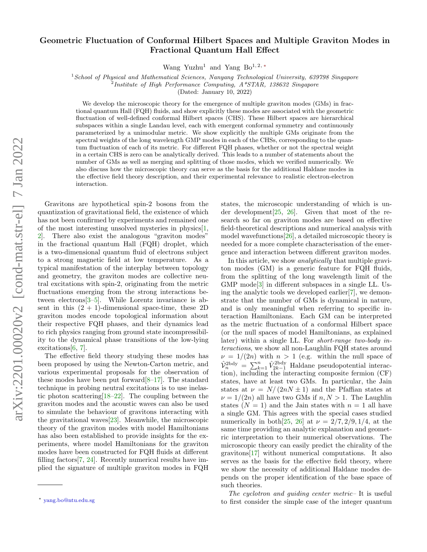## Geometric Fluctuation of Conformal Hilbert Spaces and Multiple Graviton Modes in Fractional Quantum Hall Effect

Wang Yuzhu<sup>1</sup> and Yang Bo<sup>1, 2, [∗](#page-0-0)</sup>

 $1$ School of Physical and Mathematical Sciences, Nanyang Technological University, 639798 Singapore

<sup>2</sup>Institute of High Performance Computing, A\*STAR, 138632 Singapore

(Dated: January 10, 2022)

We develop the microscopic theory for the emergence of multiple graviton modes (GMs) in fractional quantum Hall (FQH) fluids, and show explicitly these modes are associated with the geometric fluctuation of well-defined conformal Hilbert spaces (CHS). These Hilbert spaces are hierarchical subspaces within a single Landau level, each with emergent conformal symmetry and continuously parameterized by a unimodular metric. We show explicitly the multiple GMs originate from the spectral weights of the long wavelength GMP modes in each of the CHSs, corresponding to the quantum fluctuation of each of its metric. For different FQH phases, whether or not the spectral weight in a certain CHS is zero can be analytically derived. This leads to a number of statements about the number of GMs as well as merging and splitting of those modes, which we verified numerically. We also discuss how the microscopic theory can serve as the basis for the additional Haldane modes in the effective field theory description, and their experimental relevance to realistic electron-electron interaction.

Gravitons are hypothetical spin-2 bosons from the quantization of gravitational field, the existence of which has not been confirmed by experiments and remained one of the most interesting unsolved mysteries in physics[\[1,](#page-8-0) [2\]](#page-8-1). There also exist the analogous "graviton modes" in the fractional quantum Hall (FQH) droplet, which is a two-dimensional quantum fluid of electrons subject to a strong magnetic field at low temperature. As a typical manifestation of the interplay between topology and geometry, the graviton modes are collective neutral excitations with spin-2, originating from the metric fluctuations emerging from the strong interactions between electrons[\[3–](#page-8-2)[5\]](#page-8-3). While Lorentz invariance is absent in this  $(2 + 1)$ -dimensional space-time, these 2D graviton modes encode topological information about their respective FQH phases, and their dynamics lead to rich physics ranging from ground state incompressibility to the dynamical phase transitions of the low-lying excitations[\[6,](#page-8-4) [7\]](#page-8-5).

The effective field theory studying these modes has been proposed by using the Newton-Carton metric, and various experimental proposals for the observation of these modes have been put forward[\[8–](#page-8-6)[17\]](#page-8-7). The standard technique in probing neutral excitations is to use inelastic photon scattering[\[18–](#page-8-8)[22\]](#page-8-9). The coupling between the graviton modes and the acoustic waves can also be used to simulate the behaviour of gravitons interacting with the gravitational waves[\[23\]](#page-8-10). Meanwhile, the microscopic theory of the graviton modes with model Hamiltonians has also been established to provide insights for the experiments, where model Hamiltonians for the graviton modes have been constructed for FQH fluids at different filling factors[\[7,](#page-8-5) [24\]](#page-8-11). Recently numerical results have implied the signature of multiple graviton modes in FQH

states, the microscopic understanding of which is under development[\[25,](#page-8-12) [26\]](#page-9-0). Given that most of the research so far on graviton modes are based on effective field-theoretical descriptions and numerical analysis with model wavefunctions[\[26\]](#page-9-0), a detailed microscopic theory is needed for a more complete characterisation of the emergence and interaction between different graviton modes.

In this article, we show analytically that multiple graviton modes (GM) is a generic feature for FQH fluids, from the splitting of the long wavelength limit of the GMP mode[\[3\]](#page-8-2) in different subspaces in a single LL. Using the analytic tools we developed earlier[\[7\]](#page-8-5), we demonstrate that the number of GMs is dynamical in nature, and is only meaningful when referring to specific interaction Hamiltonians. Each GM can be interpreted as the metric fluctuation of a conformal Hilbert space (or the null spaces of model Hamiltonians, as explained later) within a single LL. For short-range two-body interactions, we show all non-Laughlin FQH states around  $\nu = 1/(2n)$  with  $n > 1$  (e.g. within the null space of  $\hat{\mathcal{V}}_n^{\text{2bdy}} = \sum_{k=1}^n \hat{V}_{2k-1}^{\text{2bdy}}$  Haldane pseudopotential interaction), including the interacting composite fermion (CF) states, have at least two GMs. In particular, the Jain states at  $\nu = N/(2nN \pm 1)$  and the Pfaffian states at  $\nu = 1/(2n)$  all have two GMs if  $n, N > 1$ . The Laughlin states  $(N = 1)$  and the Jain states with  $n = 1$  all have a single GM. This agrees with the special cases studied numerically in both[\[25,](#page-8-12) [26\]](#page-9-0) at  $\nu = 2/7, 2/9, 1/4$ , at the same time providing an analytic explanation and geometric interpretation to their numerical observations. The microscopic theory can easily predict the chirality of the gravitons[\[17\]](#page-8-7) without numerical computations. It also serves as the basis for the effective field theory, where we show the necessity of additional Haldane modes depends on the proper identification of the base space of such theories.

The cyclotron and guiding center metric– It is useful to first consider the simple case of the integer quantum

<span id="page-0-0"></span><sup>∗</sup> [yang.bo@ntu.edu.sg](mailto:yang.bo@ntu.edu.sg)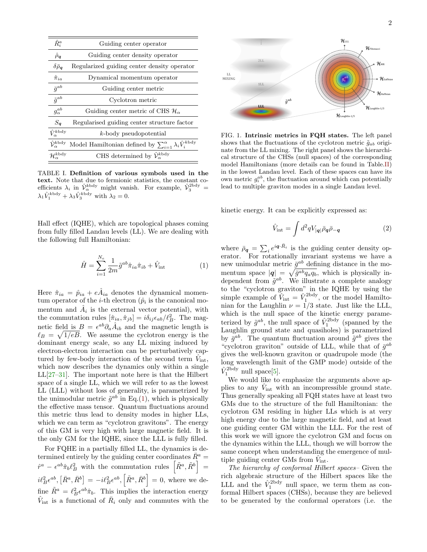| $\hat{R}^a_i$                       | Guiding center operator                                                       |
|-------------------------------------|-------------------------------------------------------------------------------|
| $\hat{\rho}_{q}$                    | Guiding center density operator                                               |
| $\delta \bar{\rho}_{\bm{q}}$        | Regularized guiding center density operator                                   |
| $\hat{\pi}_{ia}$                    | Dynamical momentum operator                                                   |
| $\bar{g}^{ab}$                      | Guiding center metric                                                         |
| $\tilde{g}^{ab}$                    | Cyclotron metric                                                              |
| $g_{\alpha}^{ab}$                   | Guiding center metric of CHS $\mathcal{H}_{\alpha}$                           |
| $S_{a}$                             | Regularised guiding center structure factor                                   |
| $\hat{V}_{\alpha}^{kbdy}$           | $k$ -body pseudopotential                                                     |
| $\hat{\mathcal{V}}_{\alpha}^{kbdy}$ | Model Hamiltonian defined by $\sum_{i=1}^{\alpha} \lambda_i \hat{V}_i^{kbdy}$ |
| $\mathcal{H}^{k\text{bdy}}_{\sim}$  | CHS determined by $\hat{\mathcal{V}}_{\alpha}^{kbdy}$                         |

TABLE I. Definition of various symbols used in the text. Note that due to fermionic statistics, the constant coefficients  $\lambda_i$  in  $\hat{\mathcal{V}}_{\alpha}^{kbdy}$  might vanish. For example,  $\hat{\mathcal{V}}_{3}^{2bdy}$  =  $\lambda_1 \hat{V}_1^{\text{kbdy}} + \lambda_3 \hat{V}_3^{\text{kbdy}}$  with  $\lambda_2 = 0$ .

Hall effect (IQHE), which are topological phases coming from fully filled Landau levels (LL). We are dealing with the following full Hamiltonian:

<span id="page-1-0"></span>
$$
\hat{H} = \sum_{i=1}^{N_e} \frac{1}{2m} \tilde{g}^{ab} \hat{\pi}_{ia} \hat{\pi}_{ib} + \hat{V}_{\text{int}}
$$
\n(1)

Here  $\hat{\pi}_{ia} = \hat{p}_{ia} + e\hat{A}_{ia}$  denotes the dynamical momentum operator of the *i*-th electron  $(\hat{p}_i)$  is the canonical momentum and  $\hat{A}_i$  is the external vector potential), with the commutation rules  $[\hat{\pi}_{ia}, \hat{\pi}_{jb}] = i\delta_{ij}\epsilon_{ab}/\ell_B^2$ . The magnetic field is  $B = \epsilon^{ab} \partial_a \hat{A}_{ib}$  and the magnetic length is  $\ell_B = \sqrt{1/eB}$ . We assume the cyclotron energy is the dominant energy scale, so any LL mixing induced by electron-electron interaction can be perturbatively captured by few-body interaction of the second term  $\hat{V}_{int}$ , which now describes the dynamics only within a single  $LL[27-31]$  $LL[27-31]$  $LL[27-31]$ . The important note here is that the Hilbert space of a single LL, which we will refer to as the lowest LL (LLL) without loss of generality, is parametrized by the unimodular metric  $\tilde{g}^{ab}$  in Eq.[\(1\)](#page-1-0), which is physically the effective mass tensor. Quantum fluctuations around this metric thus lead to density modes in higher LLs, which we can term as "cyclotron gravitons". The energy of this GM is very high with large magnetic field. It is the only GM for the IQHE, since the LLL is fully filled.

For FQHE in a partially filled LL, the dynamics is determined entirely by the guiding center coordinates  $\bar{R}^a$  =  $\hat{r}^a - \epsilon^{ab} \hat{\pi}_b \ell_B^2$  with the commutation rules  $\left[ \tilde{R}^a, \tilde{R}^b \right] =$  $i\ell_B^2 \epsilon^{ab}, \left[ \bar{R}^a, \bar{R}^b \right] = -i\ell_B^2 \epsilon^{ab}, \left[ \tilde{R}^a, \bar{R}^b \right] = 0$ , where we define  $\tilde{R}^a = \ell_B^2 \epsilon^{ab} \hat{\pi}_b$ . This implies the interaction energy  $\hat{V}_{\text{int}}$  is a functional of  $\bar{R}_i$  only and commutes with the



<span id="page-1-2"></span>FIG. 1. Intrinsic metrics in FQH states. The left panel shows that the fluctuations of the cyclotron metric  $\tilde{q}_{ab}$  originate from the LL mixing. The right panel shows the hierarchical structure of the CHSs (null spaces) of the corresponding model Hamiltonians (more details can be found in Table[.II\)](#page-2-0) in the lowest Landau level. Each of these spaces can have its own metric  $g_i^{ab}$ , the fluctuation around which can potentially lead to multiple graviton modes in a single Landau level.

kinetic energy. It can be explicitly expressed as:

<span id="page-1-1"></span>
$$
\hat{V}_{\text{int}} = \int d^2q V_{|\mathbf{q}|} \bar{\rho}_{\mathbf{q}} \bar{\rho}_{-\mathbf{q}} \tag{2}
$$

where  $\bar{\rho}_q = \sum_i e^{iq \cdot \bar{R}_i}$  is the guiding center density operator. For rotationally invariant systems we have a new unimodular metric  $\bar{g}^{ab}$  defining distance in the momentum space  $|q| = \sqrt{\bar{g}^{ab} q_a q_b}$ , which is physically independent from  $\tilde{g}^{ab}$ . We illustrate a complete analogy to the "cyclotron graviton" in the IQHE by using the simple example of  $\hat{V}_{\text{int}} = \hat{V}_1^{\text{2bdy}}$ , or the model Hamiltonian for the Laughlin  $\nu = 1/3$  state. Just like the LLL, which is the null space of the kinetic energy parameterized by  $\tilde{g}^{ab}$ , the null space of  $\hat{V}_1^{\text{2bdy}}$  (spanned by the Laughlin ground state and quasiholes) is parametrized by  $\bar{g}^{ab}$ . The quantum fluctuation around  $\tilde{g}^{ab}$  gives the "cyclotron graviton" outside of LLL, while that of  $\bar{g}^{ab}$ gives the well-known graviton or quadrupole mode (the long wavelength limit of the GMP mode) outside of the  $\hat{V}_1^{\text{2bdy}}$  null space[\[5\]](#page-8-3).

We would like to emphasize the arguments above applies to any  $\hat{V}_{\text{int}}$  with an incompressible ground state. Thus generally speaking all FQH states have at least two GMs due to the structure of the full Hamiltonian: the cyclotron GM residing in higher LLs which is at very high energy due to the large magnetic field, and at least one guiding center GM within the LLL. For the rest of this work we will ignore the cyclotron GM and focus on the dynamics within the LLL, though we will borrow the same concept when understanding the emergence of multiple guiding center GMs from  $\widetilde{V}_{int}$ .

The hierarchy of conformal Hilbert spaces– Given the rich algebraic structure of the Hilbert spaces like the LLL and the  $\hat{V}_1^{\text{2bdy}}$  null space, we term them as conformal Hilbert spaces (CHSs), because they are believed to be generated by the conformal operators (i.e. the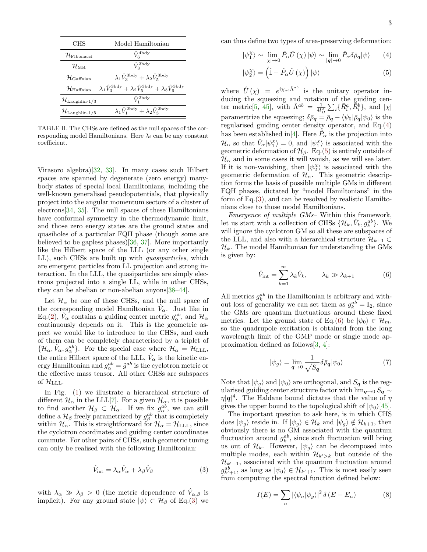| CHS                                     | Model Hamiltonian                                                                                           |
|-----------------------------------------|-------------------------------------------------------------------------------------------------------------|
| $\mathcal H$ Fibonacci                  | $\hat{V}_{6}^{\text{4bdy}}$                                                                                 |
| $\mathcal{H}_{\rm MR}$                  | $\hat{V}^{\text{3bdy}}_2$                                                                                   |
| $\mathcal{H}_{\text{Gaffnian}}$         | $\lambda_1 \hat{V}_3^{\text{3bdy}} + \lambda_2 \hat{V}_5^{\text{3bdy}}$                                     |
| ${\cal H}_{\rm Haffnian}$               | $\lambda_1 \hat{V}_3^{\text{3bdy}} + \lambda_2 \hat{V}_5^{\text{3bdy}} + \lambda_3 \hat{V}_6^{\text{3bdy}}$ |
| $\mathcal{H}_{\rm Laughlin\text{-}1/3}$ | $\hat{V}_1^{\text{2bdy}}$                                                                                   |
| $\mathcal{H}_{\rm{Laughlin-1/5}}$       | $\lambda_1 \hat{V}_1^{\text{2bdy}} + \lambda_2 \hat{V}_3^{\text{2bdy}}$                                     |

<span id="page-2-0"></span>TABLE II. The CHSs are defined as the null spaces of the corresponding model Hamiltonians. Here  $\lambda_i$  can be any constant coefficient.

Virasoro algebra)[\[32,](#page-9-3) [33\]](#page-9-4). In many cases such Hilbert spaces are spanned by degenerate (zero energy) manybody states of special local Hamiltonians, including the well-known generalised pseudopotentials, that physically project into the angular momentum sectors of a cluster of electrons[\[34,](#page-9-5) [35\]](#page-9-6). The null spaces of these Hamiltonians have conformal symmetry in the thermodynamic limit, and those zero energy states are the ground states and quasiholes of a particular FQH phase (though some are believed to be gapless phases)[\[36,](#page-9-7) [37\]](#page-9-8). More importantly like the Hilbert space of the LLL (or any other single LL), such CHSs are built up with quasiparticles, which are emergent particles from LL projection and strong interaction. In the LLL, the quasiparticles are simply electrons projected into a single LL, while in other CHSs, they can be abelian or non-abelian anyons[\[38](#page-9-9)[–44\]](#page-9-10).

Let  $\mathcal{H}_{\alpha}$  be one of these CHSs, and the null space of the corresponding model Hamiltonian  $\hat{V}_{\alpha}$ . Just like in Eq.[\(2\)](#page-1-1),  $\hat{V}_{\alpha}$  contains a guiding center metric  $g_{\alpha}^{ab}$ , and  $\mathcal{H}_{\alpha}$ continuously depends on it. This is the geometric aspect we would like to introduce to the CHSs, and each of them can be completely characterised by a triplet of  $\{\mathcal{H}_{\alpha}, \hat{V}_{\alpha}, g_{\alpha}^{ab}\}.$  For the special case where  $\mathcal{H}_{\alpha} = \mathcal{H}_{\text{LLL}}$ , the entire Hilbert space of the LLL,  $\hat{V}_{\alpha}$  is the kinetic energy Hamiltonian and  $g_{\alpha}^{ab} = \tilde{g}^{ab}$  is the cyclotron metric or the effective mass tensor. All other CHSs are subspaces of  $\mathcal{H}_{\text{LLL}}$ .

In Fig. [\(1\)](#page-1-2) we illustrate a hierarchical structure of different  $\mathcal{H}_{\alpha}$  in the LLL[\[7\]](#page-8-5). For a given  $\mathcal{H}_{\alpha}$ , it is possible to find another  $\mathcal{H}_{\beta} \subset \mathcal{H}_{\alpha}$ . If we fix  $g_{\alpha}^{ab}$ , we can still define a  $\mathcal{H}_{\beta}$  freely parametrized by  $g_{\beta}^{ab}$  that is completely within  $\mathcal{H}_{\alpha}$ . This is straightforward for  $\mathcal{H}_{\alpha} = \mathcal{H}_{\text{LLL}}$ , since the cyclotron coordinates and guiding center coordinates commute. For other pairs of CHSs, such geometric tuning can only be realised with the following Hamiltonian:

<span id="page-2-1"></span>
$$
\hat{V}_{\text{int}} = \lambda_{\alpha} \hat{V}_{\alpha} + \lambda_{\beta} \hat{V}_{\beta} \tag{3}
$$

with  $\lambda_{\alpha} \gg \lambda_{\beta} > 0$  (the metric dependence of  $\hat{V}_{\alpha,\beta}$  is implicit). For any ground state  $|\psi\rangle \subset \mathcal{H}_{\beta}$  of Eq.[\(3\)](#page-2-1) we can thus define two types of area-preserving deformation:

<span id="page-2-2"></span>
$$
|\psi_1^{\chi}\rangle \sim \lim_{|\chi|\to 0} \hat{P}_{\alpha}\hat{U}(\chi)|\psi\rangle \sim \lim_{|\mathbf{q}|\to 0} \hat{P}_{\alpha}\delta\bar{\rho}_{\mathbf{q}}|\psi\rangle \qquad (4)
$$

$$
|\psi_2^{\chi}\rangle = \left(\hat{\mathbb{I}} - \hat{P}_{\alpha}\hat{U}\left(\chi\right)\right)|\psi\rangle\tag{5}
$$

where  $\hat{U}(\chi) = e^{i\chi_{ab}\hat{\Lambda}^{ab}}$  is the unitary operator inducing the squeezing and rotation of the guiding cen-ter metric[\[5,](#page-8-3) [45\]](#page-9-11), with  $\hat{\Lambda}^{ab} = \frac{1}{4l_B^2} \sum_i \{ \bar{R}_i^a, \bar{R}_i^b \}$ , and  $|\chi|$ paramertrize the squeezing;  $\delta \bar{\rho}_{q} = \bar{\rho}_{q} - \langle \psi_0 | \bar{\rho}_{q} | \psi_0 \rangle$  is the regularised guiding center density operator, and Eq.[\(4\)](#page-2-2) has been established in[\[4\]](#page-8-13). Here  $\hat{P}_{\alpha}$  is the projection into  $\mathcal{H}_{\alpha}$  so that  $\hat{V}_{\alpha}|\psi_{1}^{X}\rangle = 0$ , and  $|\psi_{1}^{X}\rangle$  is associated with the geometric deformation of  $\mathcal{H}_{\beta}$ . Eq.[\(5\)](#page-2-2) is entirely outside of  $\mathcal{H}_{\alpha}$  and in some cases it will vanish, as we will see later. If it is non-vanishing, then  $|\psi_2^{\chi}\rangle$  is associated with the geometric deformation of  $\mathcal{H}_{\alpha}$ . This geometric description forms the basis of possible multiple GMs in different FQH phases, dictated by "model Hamiltonians" in the form of Eq.[\(3\)](#page-2-1), and can be resolved by realistic Hamiltonians close to those model Hamiltonians.

Emergence of multiple GMs– Within this framework, let us start with a collection of CHSs  $\{\mathcal{H}_k, \hat{V}_k, g^{ab}_k\}$ . We will ignore the cyclotron GM so all these are subspaces of the LLL, and also with a hierarchical structure  $\mathcal{H}_{k+1} \subset$  $\mathcal{H}_k$ . The model Hamiltonian for understanding the GMs is given by:

<span id="page-2-3"></span>
$$
\hat{V}_{\text{int}} = \sum_{k=1}^{m} \lambda_k \hat{V}_k, \qquad \lambda_k \gg \lambda_{k+1} \tag{6}
$$

All metrics  $g_k^{ab}$  in the Hamiltonian is arbitrary and without loss of generality we can set them as  $g_k^{ab} = \mathbb{I}_2$ , since the GMs are quantum fluctuations around these fixed metrics. Let the ground state of Eq.[\(6\)](#page-2-3) be  $|\psi_0\rangle \in \mathcal{H}_m$ , so the quadrupole excitation is obtained from the long wavelength limit of the GMP mode or single mode approximation defined as follows[\[3,](#page-8-2) [4\]](#page-8-13):

$$
|\psi_g\rangle = \lim_{\mathbf{q}\to 0} \frac{1}{\sqrt{S_{\mathbf{q}}}} \delta \bar{\rho}_{\mathbf{q}} |\psi_0\rangle \tag{7}
$$

Note that  $|\psi_g\rangle$  and  $|\psi_0\rangle$  are orthogonal, and  $S_g$  is the regularised guiding center structure factor with  $\lim_{q\to 0} S_q \sim$  $\eta|\mathbf{q}|^4$ . The Haldane bound dictates that the value of  $\eta$ gives the upper bound to the topological shift of  $|\psi_0\rangle$ [\[45\]](#page-9-11).

The important question to ask here, is in which CHS does  $|\psi_g\rangle$  reside in. If  $|\psi_g\rangle \in \mathcal{H}_k$  and  $|\psi_g\rangle \notin \mathcal{H}_{k+1}$ , then obviously there is no GM associated with the quantum fluctuation around  $g_k^{ab}$ , since such fluctuation will bring us out of  $\mathcal{H}_k$ . However,  $|\psi_g\rangle$  can be decomposed into multiple modes, each within  $\mathcal{H}_{k' > k}$  but outside of the  $\mathcal{H}_{k'+1}$ , associated with the quantum fluctuation around  $g_{k'+1}^{ab}$ , as long as  $|\psi_0\rangle \in \mathcal{H}_{k'+1}$ . This is most easily seen from computing the spectral function defined below:

$$
I(E) = \sum_{n} |\langle \psi_n | \psi_g \rangle|^2 \, \delta(E - E_n) \tag{8}
$$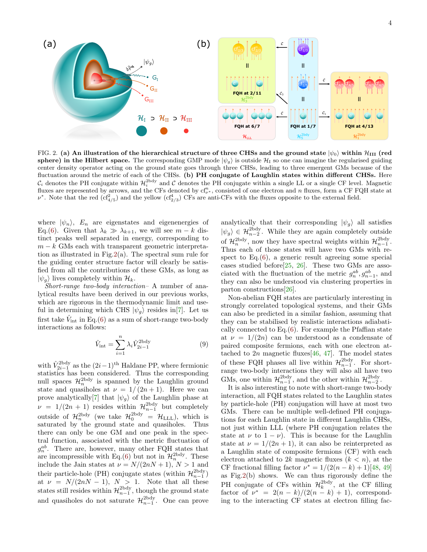

<span id="page-3-0"></span>FIG. 2. (a) An illustration of the hierarchical structure of three CHSs and the ground state  $|\psi_0\rangle$  within  $\mathcal{H}_{III}$  (red sphere) in the Hilbert space. The corresponding GMP mode  $|\psi_g\rangle$  is outside  $\mathcal{H}_I$  so one can imagine the regularised guiding center density operator acting on the ground state goes through three CHSs, leading to three emergent GMs because of the fluctuation around the metric of each of the CHSs. (b) PH conjugate of Laughlin states within different CHSs. Here  $\mathcal{C}_i$  denotes the PH conjugate within  $\mathcal{H}_i^{\text{2bdy}}$  and  $\mathcal C$  denotes the PH conjugate within a single LL or a single CF level. Magnetic fluxes are represented by arrows, and the CFs denoted by  $cf^n_{\nu^*}$ , consisted of one electron and n fluxes, form a CF FQH state at  $\nu^*$ . Note that the red  $(cf_{4/5}^2)$  and the yellow  $(cf_{2/3}^4)$  CFs are anti-CFs with the fluxes opposite to the external field.

where  $|\psi_n\rangle$ ,  $E_n$  are eigenstates and eigenenergies of Eq.[\(6\)](#page-2-3). Given that  $\lambda_k \gg \lambda_{k+1}$ , we will see  $m - k$  distinct peaks well separated in energy, corresponding to  $m - k$  GMs each with transparent geometric interpretation as illustrated in Fig.  $2(a)$ . The spectral sum rule for the guiding center structure factor will clearly be satisfied from all the contributions of these GMs, as long as  $|\psi_g\rangle$  lives completely within  $\mathcal{H}_k$ .

Short-range two-body interaction– A number of analytical results have been derived in our previous works, which are rigorous in the thermodynamic limit and useful in determining which CHS  $|\psi_g\rangle$  resides in[\[7\]](#page-8-5). Let us first take  $\hat{V}_{\text{int}}$  in Eq.[\(6\)](#page-2-3) as a sum of short-range two-body interactions as follows:

$$
\hat{V}_{\text{int}} = \sum_{i=1}^{n} \lambda_i \hat{V}_{2i-1}^{\text{2bdy}} \tag{9}
$$

with  $\hat{V}_{2i-1}^{\text{2bdy}}$  as the  $(2i-1)$ <sup>th</sup> Haldane PP, where fermionic statistics has been considered. Thus the corresponding null spaces  $\mathcal{H}_n^{\text{2bdy}}$  is spanned by the Laughlin ground state and quasiholes at  $\nu = 1/(2n+1)$ . Here we can prove analytically [\[7\]](#page-8-5) that  $|\psi_g\rangle$  of the Laughlin phase at  $\nu = 1/(2n + 1)$  resides within  $\mathcal{H}_{n-1}^{\text{2bdy}}$  but completely outside of  $\mathcal{H}_n^{\text{2bdy}}$  (we take  $\mathcal{H}_0^{\text{2bdy}} = \mathcal{H}_{\text{LLL}}$ ), which is saturated by the ground state and quasiholes. Thus there can only be one GM and one peak in the spectral function, associated with the metric fluctuation of  $g_n^{ab}$ . There are, however, many other FQH states that are incompressible with Eq.[\(6\)](#page-2-3) but not in  $\mathcal{H}_n^{\text{2bdy}}$ . These include the Jain states at  $\nu = N/(2nN + 1)$ ,  $N > 1$  and their particle-hole (PH) conjugate states (within  $\mathcal{H}_{n-1}^{2bdy}$ ) then particle-note (1 11) conjugate states (within  $n_{n-1}$ )<br>at  $\nu = N/(2nN - 1)$ ,  $N > 1$ . Note that all these states still resides within  $\mathcal{H}_{n-1}^{\text{2bdy}}$ , though the ground state and quasiholes do not saturate  $\mathcal{H}_{n-1}^{2\text{bdy}}$ . One can prove

analytically that their corresponding  $|\psi_q\rangle$  all satisfies  $|\psi_g\rangle \in \mathcal{H}_{n-2}^{\text{2bdy}}$ . While they are again completely outside of  $\mathcal{H}_n^{\text{2bdy}}$ , now they have spectral weights within  $\mathcal{H}_{n-1}^{\text{2bdy}}$ . Thus each of those states will have two GMs with respect to Eq.[\(6\)](#page-2-3), a generic result agreeing some special cases studied before  $[25, 26]$  $[25, 26]$  $[25, 26]$ . These two GMs are associated with the fluctuation of the metric  $g_n^{ab}, g_{n-1}^{ab}$ , and they can also be understood via clustering properties in parton constructions[\[26\]](#page-9-0).

Non-abelian FQH states are particularly interesting in strongly correlated topological systems, and their GMs can also be predicted in a similar fashion, assuming that they can be stabilised by realistic interactions adiabatically connected to  $Eq.(6)$  $Eq.(6)$ . For example the Pfaffian state at  $\nu = 1/(2n)$  can be understood as a condensate of paired composite fermions, each with one electron attached to  $2n$  magnetic fluxes [\[46,](#page-9-12) [47\]](#page-9-13). The model states of these FQH phases all live within  $\mathcal{H}_{n-1}^{\text{2bdy}}$ . For shortrange two-body interactions they will also all have two GMs, one within  $\mathcal{H}_{n-1}^{\text{2bdy}}$ , and the other within  $\mathcal{H}_{n-2}^{\text{2bdy}}$ .

It is also interesting to note with short-range two-body interaction, all FQH states related to the Laughlin states by particle-hole (PH) conjugation will have at most two GMs. There can be multiple well-defined PH conjugations for each Laughlin state in different Laughlin CHSs, not just within LLL (where PH conjugation relates the state at  $\nu$  to  $1 - \nu$ ). This is because for the Laughlin state at  $\nu = 1/(2n + 1)$ , it can also be reinterpreted as a Laughlin state of composite fermions (CF) with each electron attached to 2k magnetic fluxes  $(k < n)$ , at the CF fractional filling factor  $\nu^* = 1/(2(n-k)+1)[48, 49]$  $\nu^* = 1/(2(n-k)+1)[48, 49]$  $\nu^* = 1/(2(n-k)+1)[48, 49]$  $\nu^* = 1/(2(n-k)+1)[48, 49]$ as Fig[.2\(](#page-3-0)b) shows. We can thus rigorously define the PH conjugate of CFs within  $\mathcal{H}_k^{\text{2bdy}}$ , at the CF filling factor of  $\nu^* = 2(n-k)/(2(n-k)+1)$ , corresponding to the interacting CF states at electron filling fac-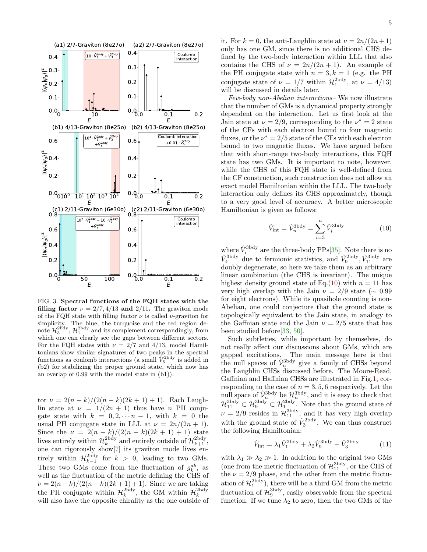

<span id="page-4-1"></span>FIG. 3. Spectral functions of the FQH states with the filling factor  $\nu = 2/7, 4/13$  and  $2/11$ . The graviton mode of the FQH state with filling factor  $\nu$  is called  $\nu$ -graviton for simplicity. The blue, the turquoise and the red region denote  $\mathcal{H}_3^{\text{2bdy}}$ ,  $\mathcal{H}_1^{\text{2bdy}}$  and its complement correspondingly, from which one can clearly see the gaps between different sectors. For the FQH states with  $\nu = 2/7$  and 4/13, model Hamiltonians show similar signatures of two peaks in the spectral functions as coulomb interactions (a small  $\hat{V}_5^{\text{2bdy}}$  is added in (b2) for stabilizing the proper ground state, which now has an overlap of 0.99 with the model state in (b1)).

tor  $\nu = 2(n-k)/(2(n-k)(2k+1)+1)$ . Each Laughlin state at  $\nu = 1/(2n + 1)$  thus have n PH conjugate state with  $k = 0, 2, \dots n-1$ , with  $k = 0$  the usual PH conjugate state in LLL at  $\nu = 2n/(2n + 1)$ . Since the  $\nu = 2(n - k)/(2(n - k)(2k + 1) + 1)$  state lives entirely within  $\mathcal{H}_k^{\text{2bdy}}$  and entirely outside of  $\mathcal{H}_{k+1}^{\text{2bdy}}$ , one can rigorously show[\[7\]](#page-8-5) its graviton mode lives entirely within  $\mathcal{H}_{k-1}^{\text{2bdy}}$  for  $k > 0$ , leading to two GMs. These two GMs come from the fluctuation of  $g_k^{ab}$ , as well as the fluctuation of the metric defining the CHS of  $\nu = 2(n-k)/(2(n-k)(2k+1)+1)$ . Since we are taking the PH conjugate within  $\mathcal{H}_k^{\text{2bdy}}$ , the GM within  $\mathcal{H}_k^{\text{2bdy}}$ will also have the opposite chirality as the one outside of

it. For  $k = 0$ , the anti-Laughlin state at  $\nu = 2n/(2n+1)$ only has one GM, since there is no additional CHS defined by the two-body interaction within LLL that also contains the CHS of  $\nu = 2n/(2n+1)$ . An example of the PH conjugate state with  $n = 3, k = 1$  (e.g. the PH conjugate state of  $\nu = 1/7$  within  $\mathcal{H}_1^{\text{2bdy}}$ , at  $\nu = 4/13$ ) will be discussed in details later.

Few-body non-Abelian interactions– We now illustrate that the number of GMs is a dynamical property strongly dependent on the interaction. Let us first look at the Jain state at  $\nu = 2/9$ , corresponding to the  $\nu^* = 2$  state of the CFs with each electron bound to four magnetic fluxes, or the  $\nu^* = 2/5$  state of the CFs with each electron bound to two magnetic fluxes. We have argued before that with short-range two-body interactions, this FQH state has two GMs. It is important to note, however, while the CHS of this FQH state is well-defined from the CF construction, such construction does not allow an exact model Hamiltonian within the LLL. The two-body interaction only defines its CHS approximately, though to a very good level of accuracy. A better microscopic Hamiltonian is given as follows:

<span id="page-4-0"></span>
$$
\hat{V}_{\text{int}} = \hat{\mathcal{V}}_{n}^{\text{3bdy}} = \sum_{i=3}^{n} \hat{V}_{i}^{\text{3bdy}} \tag{10}
$$

where  $\hat{V}_i^{\text{3bdy}}$  are the three-body PPs[\[35\]](#page-9-6). Note there is no  $\hat{V}_4^{\text{3bdy}}$  due to fermionic statistics, and  $\hat{V}_9^{\text{2bdy}}, \hat{V}_{11}^{\text{3bdy}}$  are doubly degenerate, so here we take them as an arbitrary linear combination (the CHS is invariant). The unique highest density ground state of Eq.[\(10\)](#page-4-0) with  $n = 11$  has very high overlap with the Jain  $\nu = 2/9$  state (~ 0.99 for eight electrons). While its quasihole counting is non-Abelian, one could conjecture that the ground state is topologically equivalent to the Jain state, in analogy to the Gaffnian state and the Jain  $\nu = 2/5$  state that has been studied before[\[33,](#page-9-4) [50\]](#page-9-16).

Such subtleties, while important by themselves, do not really affect our discussions about GMs, which are gapped excitations. The main message here is that the null spaces of  $\hat{\mathcal{V}}_n^{\text{3bdy}}$  give a family of CHSs beyond the Laughlin CHSs discussed before. The Moore-Read, Gaffnian and Haffnian CHSs are illustrated in Fig[.1,](#page-1-2) corresponding to the case of  $n = 3, 5, 6$  respectively. Let the null space of  $\hat{\mathcal{V}}_n^{\text{3bdy}}$  be  $\mathcal{H}_n^{\text{3bdy}}$ , and it is easy to check that  $\mathcal{H}_{11}^{3\text{bdy}} \subset \mathcal{H}_{1}^{3\text{bdy}}$ . Note that the ground state of  $\nu = 2/9$  resides in  $\mathcal{H}_{11}^{3bdy}$ , and it has very high overlap with the ground state of  $\hat{V}_3^{\text{2bdy}}$ . We can thus construct the following Hamiltonian:

$$
\hat{V}_{\text{int}} = \lambda_1 \hat{V}_1^{\text{2bdy}} + \lambda_2 \hat{V}_9^{\text{3bdy}} + \hat{V}_3^{\text{2bdy}} \tag{11}
$$

with  $\lambda_1 \gg \lambda_2 \gg 1$ . In addition to the original two GMs (one from the metric fluctuation of  $\mathcal{H}_{11}^{3\text{bdy}}$ , or the CHS of the  $\nu = 2/9$  phase, and the other from the metric fluctuation of  $\mathcal{H}_1^{\text{2bdy}}$ , there will be a third GM from the metric fluctuation of  $\mathcal{H}_9^{3bdy}$ , easily observable from the spectral function. If we tune  $\lambda_2$  to zero, then the two GMs of the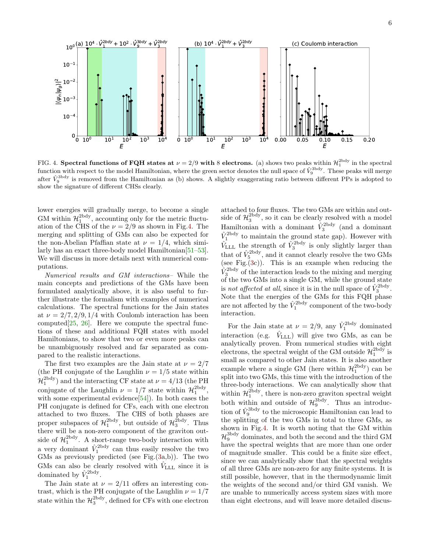

<span id="page-5-0"></span>FIG. 4. Spectral functions of FQH states at  $\nu = 2/9$  with 8 electrons. (a) shows two peaks within  $\mathcal{H}_1^{\text{2bdy}}$  in the spectral function with respect to the model Hamiltonian, where the green sector denotes the null space of  $\hat{V}_9^{\text{3bdy}}$ . These peaks will merge after  $\hat{V}_9^{\text{3bdy}}$  is removed from the Hamiltonian as (b) shows. A slightly exaggerating ratio between different PPs is adopted to show the signature of different CHSs clearly.

lower energies will gradually merge, to become a single GM within  $\mathcal{H}_1^{\text{2bdy}}$ , accounting only for the metric fluctuation of the CHS of the  $\nu = 2/9$  as shown in Fig[.4.](#page-5-0) The merging and splitting of GMs can also be expected for the non-Abelian Pfaffian state at  $\nu = 1/4$ , which similarly has an exact three-body model Hamiltonian[\[51–](#page-9-17)[53\]](#page-9-18). We will discuss in more details next with numerical computations.

Numerical results and GM interactions– While the main concepts and predictions of the GMs have been formulated analytically above, it is also useful to further illustrate the formalism with examples of numerical calculations. The spectral functions for the Jain states at  $\nu = 2/7, 2/9, 1/4$  with Coulomb interaction has been computed[\[25,](#page-8-12) [26\]](#page-9-0). Here we compute the spectral functions of these and additional FQH states with model Hamiltonians, to show that two or even more peaks can be unambiguously resolved and far separated as compared to the realistic interactions.

The first two examples are the Jain state at  $\nu = 2/7$ (the PH conjugate of the Laughlin  $\nu = 1/5$  state within  $\mathcal{H}^{\text{2bdy}}_1$  and the interacting CF state at  $\nu = 4/13$  (the PH conjugate of the Laughlin  $\nu = 1/7$  state within  $\mathcal{H}_1^{\text{2bdy}}$ , with some experimental evidence[\[54\]](#page-9-19)). In both cases the PH conjugate is defined for CFs, each with one electron attached to two fluxes. The CHS of both phases are proper subspaces of  $\mathcal{H}_1^{\text{2bdy}}$ , but outside of  $\mathcal{H}_3^{\text{2bdy}}$ . Thus there will be a non-zero component of the graviton outside of  $\mathcal{H}_1^{\text{2bdy}}$ . A short-range two-body interaction with a very dominant  $\hat{V}_1^{\text{2bdy}}$  can thus easily resolve the two GMs as previously predicted (see Fig. $(3a,b)$  $(3a,b)$ ). The two GMs can also be clearly resolved with  $\hat{V}_{\text{LLL}}$  since it is dominated by  $\hat{V}_1^{\text{2bdy}}$ .

The Jain state at  $\nu = 2/11$  offers an interesting contrast, which is the PH conjugate of the Laughlin  $\nu = 1/7$ state within the  $\mathcal{H}_3^{\text{2bdy}}$ , defined for CFs with one electron

attached to four fluxes. The two GMs are within and outside of  $\mathcal{H}_3^{\text{2bdy}}$ , so it can be clearly resolved with a model Hamiltonian with a dominant  $\hat{V}_3^{\text{2bdy}}$  (and a dominant  $\hat{V}_1^{\text{2bdy}}$  to maintain the ground state gap). However with  $\hat{V}_{\text{LLL}}$  the strength of  $\hat{V}_3^{\text{2bdy}}$  is only slightly larger than that of  $\hat{V}_5^{\text{2bdy}}$ , and it cannot clearly resolve the two GMs (see Fig. $(3c)$  $(3c)$ ). This is an example when reducing the  $\hat{V}_3^{\text{2bdy}}$  of the interaction leads to the mixing and merging of the two GMs into a single GM, while the ground state is not affected at all, since it is in the null space of  $\hat{V}_3^{\text{2bdy}}$ . Note that the energies of the GMs for this FQH phase are not affected by the  $\hat{V}_1^{\text{2bdy}}$  component of the two-body interaction.

For the Jain state at  $\nu = 2/9$ , any  $\hat{V}_1^{\text{2bdy}}$  dominated interaction (e.g.  $\hat{V}_{\text{LLL}}$ ) will give two GMs, as can be analytically proven. From numerical studies with eight electrons, the spectral weight of the GM outside  $\mathcal{H}^\text{2bdy}_1$  is small as compared to other Jain states. It is also another example where a single GM (here within  $\mathcal{H}^{\text{2bdy}}_1$ ) can be split into two GMs, this time with the introduction of the three-body interactions. We can analytically show that within  $\mathcal{H}_1^{\text{2bdy}}$ , there is non-zero graviton spectral weight both within and outside of  $\mathcal{H}_9^{3bdy}$ . Thus an introduction of  $\hat{V}_9^{\text{3bdy}}$  to the microscopic Hamiltonian can lead to the splitting of the two GMs in total to three GMs, as shown in Fig[.4.](#page-5-0) It is worth noting that the GM within  $\mathcal{H}_{9}^{3bdy}$  dominates, and both the second and the third GM have the spectral weights that are more than one order of magnitude smaller. This could be a finite size effect, since we can analytically show that the spectral weights of all three GMs are non-zero for any finite systems. It is still possible, however, that in the thermodynamic limit the weights of the second and/or third GM vanish. We are unable to numerically access system sizes with more than eight electrons, and will leave more detailed discus-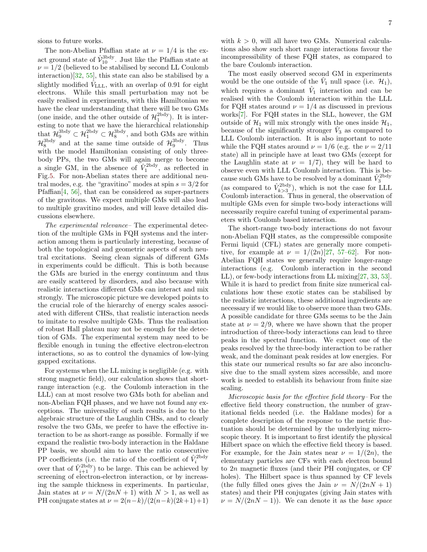The non-Abelian Pfaffian state at  $\nu = 1/4$  is the exact ground state of  $\hat{\mathcal{V}}_{10}^{3\text{bdy}}$ . Just like the Pfaffian state at  $\nu = 1/2$  (believed to be stabilised by second LL Coulomb interaction)[\[32,](#page-9-3) [55\]](#page-9-20), this state can also be stabilised by a slightly modified  $\hat{V}_{\text{LLL}}$ , with an overlap of 0.91 for eight electrons. While this small perturbation may not be easily realised in experiments, with this Hamiltonian we have the clear understanding that there will be two GMs (one inside, and the other outside of  $\mathcal{H}_1^{\text{2bdy}}$ ). It is interesting to note that we have the hierarchical relationship that  $\mathcal{H}_9^{3bdy} \subset \mathcal{H}_1^{2bdy} \subset \mathcal{H}_8^{3bdy}$ , and both GMs are within  $\mathcal{H}_{8}^{3bdy}$  and at the same time outside of  $\mathcal{H}_{9}^{3bdy}$ . Thus with the model Hamiltonian consisting of only threebody PPs, the two GMs will again merge to become a single GM, in the absence of  $\hat{V}_1^{\text{2bdy}}$ , as reflected in Fig[.5.](#page-7-0) For non-Abelian states there are additional neutral modes, e.g. the "gravitino" modes at spin  $s = 3/2$  for Pfaffian[\[4,](#page-8-13) [56\]](#page-9-21), that can be considered as super-partners of the gravitons. We expect multiple GMs will also lead to multiple gravitino modes, and will leave detailed discussions elsewhere.

The experimental relevance– The experimental detection of the multiple GMs in FQH systems and the interaction among them is particularly interesting, because of both the topological and geometric aspects of such neutral excitations. Seeing clean signals of different GMs in experiments could be difficult. This is both because the GMs are buried in the energy continuum and thus are easily scattered by disorders, and also because with realistic interactions different GMs can interact and mix strongly. The microscopic picture we developed points to the crucial role of the hierarchy of energy scales associated with different CHSs, that realistic interaction needs to imitate to resolve multiple GMs. Thus the realisation of robust Hall plateau may not be enough for the detection of GMs. The experimental system may need to be flexible enough in tuning the effective electron-electron interactions, so as to control the dynamics of low-lying gapped excitations.

For systems when the LL mixing is negligible (e.g. with strong magnetic field), our calculation shows that shortrange interaction (e.g. the Coulomb interaction in the LLL) can at most resolve two GMs both for abelian and non-Abelian FQH phases, and we have not found any exceptions. The universality of such results is due to the algebraic structure of the Laughlin CHSs, and to clearly resolve the two GMs, we prefer to have the effective interaction to be as short-range as possible. Formally if we expand the realistic two-body interaction in the Haldane PP basis, we should aim to have the ratio consecutive PP coefficients (i.e. the ratio of the coefficient of  $\hat{V}_i^{\text{2bdy}}$ over that of  $\hat{V}_{i+1}^{2bdy}$  to be large. This can be achieved by screening of electron-electron interaction, or by increasing the sample thickness in experiments. In particular, Jain states at  $\nu = N/(2nN + 1)$  with  $N > 1$ , as well as PH conjugate states at  $\nu = 2(n-k)/(2(n-k)(2k+1)+1)$ 

with  $k > 0$ , will all have two GMs. Numerical calculations also show such short range interactions favour the incompressibility of these FQH states, as compared to the bare Coulomb interaction.

The most easily observed second GM in experiments would be the one outside of the  $\hat{V}_1$  null space (i.e.  $\mathcal{H}_1$ ), which requires a dominant  $\hat{V}_1$  interaction and can be realised with the Coulomb interaction within the LLL for FQH states around  $\nu = 1/4$  as discussed in previous works[\[7\]](#page-8-5). For FQH states in the SLL, however, the GM outside of  $\mathcal{H}_1$  will mix strongly with the ones inside  $\mathcal{H}_1$ , because of the significantly stronger  $\hat{V}_3$  as compared to LLL Coulomb interaction. It is also important to note while the FQH states around  $\nu = 1/6$  (e.g. the  $\nu = 2/11$ state) all in principle have at least two GMs (except for the Laughlin state at  $\nu = 1/7$ , they will be hard to observe even with LLL Coulomb interaction. This is because such GMs have to be resolved by a dominant  $\hat{V}^{\text{2bdy}}_3$ (as compared to  $\hat{V}_{k>3}^{\text{2bdy}}$ ), which is not the case for LLL Coulomb interaction. Thus in general, the observation of multiple GMs even for simple two-body interactions will necessarily require careful tuning of experimental parameters with Coulomb based interaction.

The short-range two-body interactions do not favour non-Abelian FQH states, as the compressible composite Fermi liquid (CFL) states are generally more competitive, for example at  $\nu = 1/(2n)[27, 57-62]$  $\nu = 1/(2n)[27, 57-62]$  $\nu = 1/(2n)[27, 57-62]$  $\nu = 1/(2n)[27, 57-62]$  $\nu = 1/(2n)[27, 57-62]$ . For non-Abelian FQH states we generally require longer-range interactions (e.g. Coulomb interaction in the second LL), or few-body interactions from LL mixing[\[27,](#page-9-1) [33,](#page-9-4) [53\]](#page-9-18). While it is hard to predict from finite size numerical calculations how these exotic states can be stabilised by the realistic interactions, these additional ingredients are necessary if we would like to observe more than two GMs. A possible candidate for three GMs seems to be the Jain state at  $\nu = 2/9$ , where we have shown that the proper introduction of three-body interactions can lead to three peaks in the spectral function. We expect one of the peaks resolved by the three-body interaction to be rather weak, and the dominant peak resides at low energies. For this state our numerical results so far are also inconclusive due to the small system sizes accessible, and more work is needed to establish its behaviour from finite size scaling.

Microscopic basis for the effective field theory– For the effective field theory construction, the number of gravitational fields needed (i.e. the Haldane modes) for a complete description of the response to the metric fluctuation should be determined by the underlying microscopic theory. It is important to first identify the physical Hilbert space on which the effective field theory is based. For example, for the Jain states near  $\nu = 1/(2n)$ , the elementary particles are CFs with each electron bound to 2n magnetic fluxes (and their PH conjugates, or CF holes). The Hilbert space is thus spanned by CF levels (the fully filled ones gives the Jain  $\nu = N/(2nN + 1)$ ) states) and their PH conjugates (giving Jain states with  $\nu = N/(2nN - 1)$ . We can denote it as the base space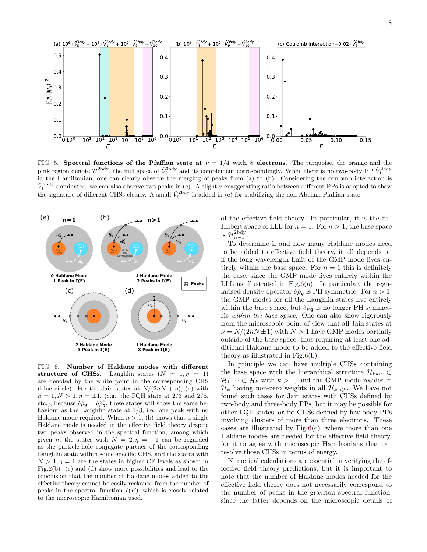

<span id="page-7-0"></span>FIG. 5. Spectral functions of the Pfaffian state at  $\nu = 1/4$  with 8 electrons. The turquoise, the orange and the pink region denote  $\mathcal{H}_1^{\text{2bdy}}$ , the null space of  $\hat{\mathcal{V}}_8^{\text{3bdy}}$  and its complement correspondingly. When there is no two-body PP  $\hat{V}_1^{\text{2bdy}}$ in the Hamiltonian, one can clearly observe the merging of peaks from (a) to (b). Considering the coulomb interaction is  $\hat{V}_1^{\text{2bdy}}$ -dominated, we can also observe two peaks in (c). A slightly exaggerating ratio between different PPs is adopted to show the signature of different CHSs clearly. A small  $\hat{V}_5^{\text{2bdy}}$  is added in (c) for stabilizing the non-Abelian Pfaffian state.



<span id="page-7-1"></span>FIG. 6. Number of Haldane modes with different structure of CHSs. Laughlin states  $(N = 1, \eta = 1)$ are denoted by the white point in the corresponding CHS (blue circle). For the Jain states at  $N/(2nN + n)$ , (a) with  $n = 1, N > 1, \eta = \pm 1$ , (e.g. the FQH state at 2/3 and 2/5, etc.), because  $\delta \hat{\rho}_q = \delta \hat{\rho}_q^*$ , these states will show the same behaviour as the Laughlin state at  $1/3$ , i.e. one peak with no Haldane mode required. When  $n > 1$ , (b) shows that a single Haldane mode is needed in the effective field theory despite two peaks observed in the spectral function, among which given *n*, the states with  $N = 2, \eta = -1$  can be regarded as the particle-hole conjugate partner of the corresponding Laughlin state within some specific CHS, and the states with  $N > 1, \eta = 1$  are the states in higher CF levels as shown in Fig[.2\(](#page-3-0)b). (c) and (d) show more possibilities and lead to the conclusion that the number of Haldane modes added to the effective theory cannot be easily reckoned from the number of peaks in the spectral function  $I(E)$ , which is closely related to the microscopic Hamiltonian used.

of the effective field theory. In particular, it is the full Hilbert space of LLL for  $n = 1$ . For  $n > 1$ , the base space is  $\mathcal{H}_{n-1}^{\text{2bdy}}$ .

To determine if and how many Haldane modes need to be added to effective field theory, it all depends on if the long wavelength limit of the GMP mode lives entirely within the base space. For  $n = 1$  this is definitely the case, since the GMP mode lives entirely within the LLL as illustrated in Fig. $6(a)$ . In particular, the regularised density operator  $\delta \bar{\rho}_q$  is PH symmetric. For  $n > 1$ , the GMP modes for all the Laughlin states live entirely within the base space, but  $\delta \bar{\rho}_{q}$  is no longer PH symmetric within the base space. One can also show rigorously from the microscopic point of view that all Jain states at  $\nu = N/(2nN \pm 1)$  with  $N > 1$  have GMP modes partially outside of the base space, thus requiring at least one additional Haldane mode to be added to the effective field theory as illustrated in Fig[.6\(](#page-7-1)b).

In principle we can have multiple CHSs containing the base space with the hierarchical structure  $\mathcal{H}_{\text{base}} \subset$  $\mathcal{H}_1 \cdots \subset \mathcal{H}_k$  with  $k > 1$ , and the GMP mode resides in  $\mathcal{H}_k$  having non-zero weights in all  $\mathcal{H}_{k' < k}$ . We have not found such cases for Jain states with CHSs defined by two-body and three-body PPs, but it may be possible for other FQH states, or for CHSs defined by few-body PPs involving clusters of more than three electrons. These cases are illustrated by  $Fig.6(c)$  $Fig.6(c)$  $Fig.6(c)$ , where more than one Haldane modes are needed for the effective field theory, for it to agree with microscopic Hamiltonians that can resolve those CHSs in terms of energy.

Numerical calculations are essential in verifying the effective field theory predictions, but it is important to note that the number of Haldane modes needed for the effective field theory does not necessarily correspond to the number of peaks in the graviton spectral function, since the latter depends on the microscopic details of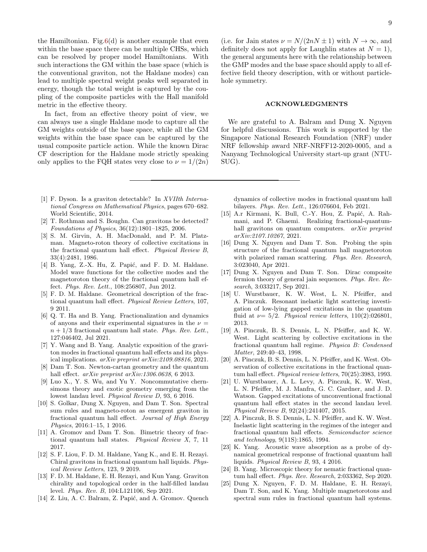the Hamiltonian. Fig. $6(d)$  is another example that even within the base space there can be multiple CHSs, which can be resolved by proper model Hamiltonians. With such interactions the GM within the base space (which is the conventional graviton, not the Haldane modes) can lead to multiple spectral weight peaks well separated in energy, though the total weight is captured by the coupling of the composite particles with the Hall manifold metric in the effective theory.

In fact, from an effective theory point of view, we can always use a single Haldane mode to capture all the GM weights outside of the base space, while all the GM weights within the base space can be captured by the usual composite particle action. While the known Dirac CF description for the Haldane mode strictly speaking only applies to the FQH states very close to  $\nu = 1/(2n)$ 

- <span id="page-8-0"></span>[1] F. Dyson. Is a graviton detectable? In XVIIth International Congress on Mathematical Physics, pages 670–682. World Scientific, 2014.
- <span id="page-8-1"></span>[2] T. Rothman and S. Boughn. Can gravitons be detected? Foundations of Physics, 36(12):1801–1825, 2006.
- <span id="page-8-2"></span>[3] S. M. Girvin, A. H. MacDonald, and P. M. Platzman. Magneto-roton theory of collective excitations in the fractional quantum hall effect. Physical Review B, 33(4):2481, 1986.
- <span id="page-8-13"></span>[4] B. Yang, Z.-X. Hu, Z. Papić, and F. D. M. Haldane. Model wave functions for the collective modes and the magnetoroton theory of the fractional quantum hall effect. Phys. Rev. Lett., 108:256807, Jun 2012.
- <span id="page-8-3"></span>[5] F. D. M. Haldane. Geometrical description of the fractional quantum hall effect. Physical Review Letters, 107, 9 2011.
- <span id="page-8-4"></span>[6] Q. T. Ha and B. Yang. Fractionalization and dynamics of anyons and their experimental signatures in the  $\nu =$  $n + 1/3$  fractional quantum hall state. Phys. Rev. Lett., 127:046402, Jul 2021.
- <span id="page-8-5"></span>[7] Y. Wang and B. Yang. Analytic exposition of the graviton modes in fractional quantum hall effects and its physical implications. arXiv preprint arXiv:2109.08816, 2021.
- <span id="page-8-6"></span>[8] Dam T. Son. Newton-cartan geometry and the quantum hall effect. arXiv preprint arXiv:1306.0638, 6 2013.
- [9] Luo X., Y. S. Wu, and Yu Y. Noncommutative chernsimons theory and exotic geometry emerging from the lowest landau level. Physical Review D, 93, 6 2016.
- [10] S. Golkar, Dung X. Nguyen, and Dam T. Son. Spectral sum rules and magneto-roton as emergent graviton in fractional quantum hall effect. Journal of High Energy Physics, 2016:1–15, 1 2016.
- [11] A. Gromov and Dam T. Son. Bimetric theory of fractional quantum hall states. Physical Review X, 7, 11 2017.
- [12] S. F. Liou, F. D. M. Haldane, Yang K., and E. H. Rezayi. Chiral gravitons in fractional quantum hall liquids. Physical Review Letters, 123, 9 2019.
- [13] F. D. M. Haldane, E. H. Rezayi, and Kun Yang. Graviton chirality and topological order in the half-filled landau level. Phys. Rev. B, 104:L121106, Sep 2021.
- [14] Z. Liu, A. C. Balram, Z. Papić, and A. Gromov. Quench

(i.e. for Jain states  $\nu = N/(2nN \pm 1)$  with  $N \to \infty$ , and definitely does not apply for Laughlin states at  $N = 1$ , the general arguments here with the relationship between the GMP modes and the base space should apply to all effective field theory description, with or without particlehole symmetry.

## ACKNOWLEDGMENTS

We are grateful to A. Balram and Dung X. Nguyen for helpful discussions. This work is supported by the Singapore National Research Foundation (NRF) under NRF fellowship award NRF-NRFF12-2020-0005, and a Nanyang Technological University start-up grant (NTU-SUG).

dynamics of collective modes in fractional quantum hall bilayers. Phys. Rev. Lett., 126:076604, Feb 2021.

- [15] A.r Kirmani, K. Bull, C.-Y. Hou, Z. Papić, A. Rahmani, and P. Ghaemi. Realizing fractional-quantumhall gravitons on quantum computers. *arXiv preprint* arXiv:2107.10267, 2021.
- [16] Dung X. Nguyen and Dam T. Son. Probing the spin structure of the fractional quantum hall magnetoroton with polarized raman scattering. Phys. Rev. Research, 3:023040, Apr 2021.
- <span id="page-8-7"></span>[17] Dung X. Nguyen and Dam T. Son. Dirac composite fermion theory of general jain sequences. Phys. Rev. Research, 3:033217, Sep 2021.
- <span id="page-8-8"></span>[18] U. Wurstbauer, K. W. West, L. N. Pfeiffer, and A. Pinczuk. Resonant inelastic light scattering investigation of low-lying gapped excitations in the quantum fluid at  $\nu = 5/2$ . Physical review letters, 110(2):026801, 2013.
- [19] A. Pinczuk, B. S. Dennis, L. N. Pfeiffer, and K. W. West. Light scattering by collective excitations in the fractional quantum hall regime. Physica B: Condensed Matter, 249:40–43, 1998.
- [20] A. Pinczuk, B. S. Dennis, L. N. Pfeiffer, and K. West. Observation of collective excitations in the fractional quantum hall effect. Physical review letters, 70(25):3983, 1993.
- [21] U. Wurstbauer, A. L. Levy, A. Pinczuk, K. W. West, L. N. Pfeiffer, M. J. Manfra, G. C. Gardner, and J. D. Watson. Gapped excitations of unconventional fractional quantum hall effect states in the second landau level. Physical Review B, 92(24):241407, 2015.
- <span id="page-8-9"></span>[22] A. Pinczuk, B. S. Dennis, L. N. Pfeiffer, and K. W. West. Inelastic light scattering in the regimes of the integer and fractional quantum hall effects. Semiconductor science and technology, 9(11S):1865, 1994.
- <span id="page-8-10"></span>[23] K. Yang. Acoustic wave absorption as a probe of dynamical geometrical response of fractional quantum hall liquids. Physical Review B, 93, 4 2016.
- <span id="page-8-11"></span>[24] B. Yang. Microscopic theory for nematic fractional quantum hall effect. Phys. Rev. Research, 2:033362, Sep 2020.
- <span id="page-8-12"></span>[25] Dung X. Nguyen, F. D. M. Haldane, E. H. Rezayi, Dam T. Son, and K. Yang. Multiple magnetorotons and spectral sum rules in fractional quantum hall systems.